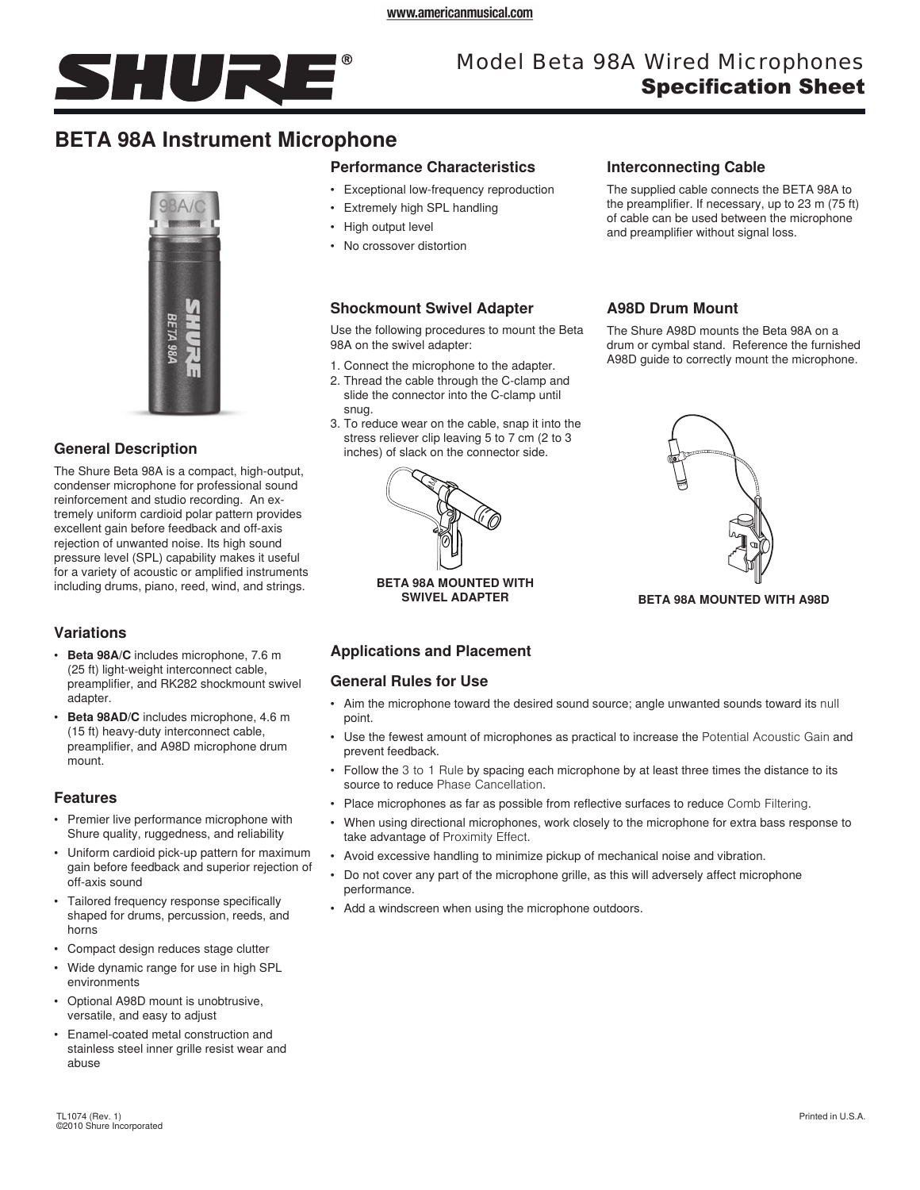

# Model Beta 98A Wired Microphones Specification Sheet

# **BETA 98A Instrument Microphone**



# **General Description**

The Shure Beta 98A is a compact, high-output, condenser microphone for professional sound reinforcement and studio recording. An extremely uniform cardioid polar pattern provides excellent gain before feedback and off-axis rejection of unwanted noise. Its high sound pressure level (SPL) capability makes it useful for a variety of acoustic or amplified instruments including drums, piano, reed, wind, and strings.

# **Variations**

- • **Beta 98A/C** includes microphone, 7.6 m (25 ft) light-weight interconnect cable, preamplifier, and RK282 shockmount swivel adapter.
- **Beta 98AD/C** includes microphone, 4.6 m (15 ft) heavy-duty interconnect cable, preamplifier, and A98D microphone drum mount.

### **Features**

- Premier live performance microphone with Shure quality, ruggedness, and reliability
- Uniform cardioid pick-up pattern for maximum gain before feedback and superior rejection of off-axis sound
- Tailored frequency response specifically shaped for drums, percussion, reeds, and horns
- • Compact design reduces stage clutter
- Wide dynamic range for use in high SPL environments
- Optional A98D mount is unobtrusive, versatile, and easy to adjust
- • Enamel-coated metal construction and stainless steel inner grille resist wear and abuse

# **Performance Characteristics**

- • Exceptional low-frequency reproduction
- • Extremely high SPL handling
- High output level
- No crossover distortion

# **Shockmount Swivel Adapter**

Use the following procedures to mount the Beta 98A on the swivel adapter:

- 1. Connect the microphone to the adapter.
- 2. Thread the cable through the C-clamp and slide the connector into the C-clamp until snug.
- 3. To reduce wear on the cable, snap it into the stress reliever clip leaving 5 to 7 cm (2 to 3 inches) of slack on the connector side.



**BETA 98A MOUNTED WITH** 

# **Applications and Placement**

### **General Rules for Use**

- Aim the microphone toward the desired sound source; angle unwanted sounds toward its null point.
- • Use the fewest amount of microphones as practical to increase the Potential Acoustic Gain and prevent feedback.
- Follow the 3 to 1 Rule by spacing each microphone by at least three times the distance to its source to reduce Phase Cancellation.
- • Place microphones as far as possible from reflective surfaces to reduce Comb Filtering.
- • When using directional microphones, work closely to the microphone for extra bass response to take advantage of Proximity Effect.
- Avoid excessive handling to minimize pickup of mechanical noise and vibration.
- Do not cover any part of the microphone grille, as this will adversely affect microphone performance.
- Add a windscreen when using the microphone outdoors.

## **Interconnecting Cable**

The supplied cable connects the BETA 98A to the preamplifier. If necessary, up to 23 m (75 ft) of cable can be used between the microphone and preamplifier without signal loss.

# **A98D Drum Mount**

The Shure A98D mounts the Beta 98A on a drum or cymbal stand. Reference the furnished A98D guide to correctly mount the microphone.



**BETA 98A MOUNTED WITH A98D**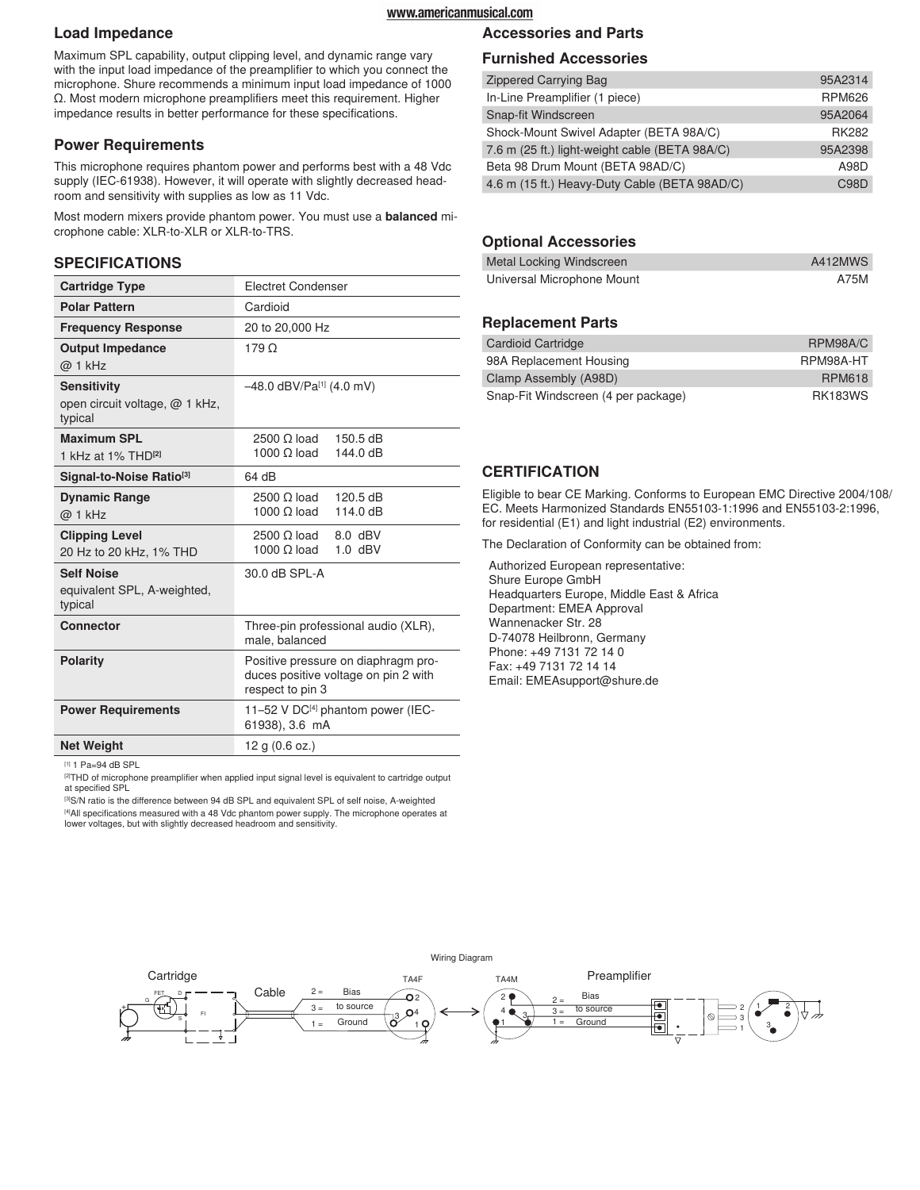#### www.americanmusical.com

#### **Load Impedance**

Maximum SPL capability, output clipping level, and dynamic range vary with the input load impedance of the preamplifier to which you connect the microphone. Shure recommends a minimum input load impedance of 1000 Ω. Most modern microphone preamplifiers meet this requirement. Higher impedance results in better performance for these specifications.

#### **Power Requirements**

This microphone requires phantom power and performs best with a 48 Vdc supply (IEC-61938). However, it will operate with slightly decreased headroom and sensitivity with supplies as low as 11 Vdc.

Most modern mixers provide phantom power. You must use a **balanced** microphone cable: XLR-to-XLR or XLR-to-TRS.

#### **SPECIFICATIONS**

| <b>Cartridge Type</b>                     | <b>Electret Condenser</b>                                                                       |  |
|-------------------------------------------|-------------------------------------------------------------------------------------------------|--|
| <b>Polar Pattern</b>                      | Cardioid                                                                                        |  |
| <b>Frequency Response</b>                 | 20 to 20,000 Hz                                                                                 |  |
| <b>Output Impedance</b>                   | $179\Omega$                                                                                     |  |
| @ 1 kHz                                   |                                                                                                 |  |
| <b>Sensitivity</b>                        | -48.0 dBV/Pa[1] (4.0 mV)                                                                        |  |
| open circuit voltage, @ 1 kHz,<br>typical |                                                                                                 |  |
| <b>Maximum SPL</b>                        | $2500 \Omega$ load<br>150.5 dB                                                                  |  |
| 1 kHz at 1% THD <sup>[2]</sup>            | 1000 $\Omega$ load<br>144.0 dB                                                                  |  |
| Signal-to-Noise Ratio <sup>[3]</sup>      | 64 dB                                                                                           |  |
| <b>Dynamic Range</b>                      | $2500 \Omega$ load<br>120.5 dB                                                                  |  |
| @ 1 kHz                                   | 1000 $\Omega$ load<br>114.0 dB                                                                  |  |
| <b>Clipping Level</b>                     | $2500 \Omega$ load<br>$8.0$ dBV                                                                 |  |
| 20 Hz to 20 kHz, 1% THD                   | 1000 $\Omega$ load<br>$1.0$ dBV                                                                 |  |
| <b>Self Noise</b>                         | 30.0 dB SPL-A                                                                                   |  |
| equivalent SPL, A-weighted,<br>typical    |                                                                                                 |  |
| <b>Connector</b>                          | Three-pin professional audio (XLR),<br>male, balanced                                           |  |
| Polarity                                  | Positive pressure on diaphragm pro-<br>duces positive voltage on pin 2 with<br>respect to pin 3 |  |
| <b>Power Requirements</b>                 | 11-52 V DC[4] phantom power (IEC-<br>61938), 3.6 mA                                             |  |
| <b>Net Weight</b>                         | 12 g (0.6 oz.)                                                                                  |  |

[1] 1 Pa=94 dB SPL

<sup>[2]</sup>THD of microphone preamplifier when applied input signal level is equivalent to cartridge output at specified SPL

[3]S/N ratio is the difference between 94 dB SPL and equivalent SPL of self noise, A-weighted [4] All specifications measured with a 48 Vdc phantom power supply. The microphone operates at lower voltages, but with slightly decreased headroom and sensitivity.

#### **Accessories and Parts**

#### **Furnished Accessories**

| <b>Zippered Carrying Bag</b>                   | 95A2314           |
|------------------------------------------------|-------------------|
| In-Line Preamplifier (1 piece)                 | <b>RPM626</b>     |
| Snap-fit Windscreen                            | 95A2064           |
| Shock-Mount Swivel Adapter (BETA 98A/C)        | <b>RK282</b>      |
| 7.6 m (25 ft.) light-weight cable (BETA 98A/C) | 95A2398           |
| Beta 98 Drum Mount (BETA 98AD/C)               | A98D              |
| 4.6 m (15 ft.) Heavy-Duty Cable (BETA 98AD/C)  | C <sub>98</sub> D |

#### **Optional Accessories**

| Metal Locking Windscreen   | A412MWS |
|----------------------------|---------|
| Universal Microphone Mount | A75M    |

## **Replacement Parts**

| Cardioid Cartridge                  | RPM98A/C       |
|-------------------------------------|----------------|
| 98A Replacement Housing             | RPM98A-HT      |
| Clamp Assembly (A98D)               | <b>RPM618</b>  |
| Snap-Fit Windscreen (4 per package) | <b>RK183WS</b> |

## **CERTIFICATION**

Eligible to bear CE Marking. Conforms to European EMC Directive 2004/108/ EC. Meets Harmonized Standards EN55103-1:1996 and EN55103-2:1996, for residential (E1) and light industrial (E2) environments.

The Declaration of Conformity can be obtained from:

Authorized European representative: Shure Europe GmbH Headquarters Europe, Middle East & Africa Department: EMEA Approval Wannenacker Str. 28 D-74078 Heilbronn, Germany Phone: +49 7131 72 14 0 Fax: +49 7131 72 14 14 Email: EMEAsupport@shure.de